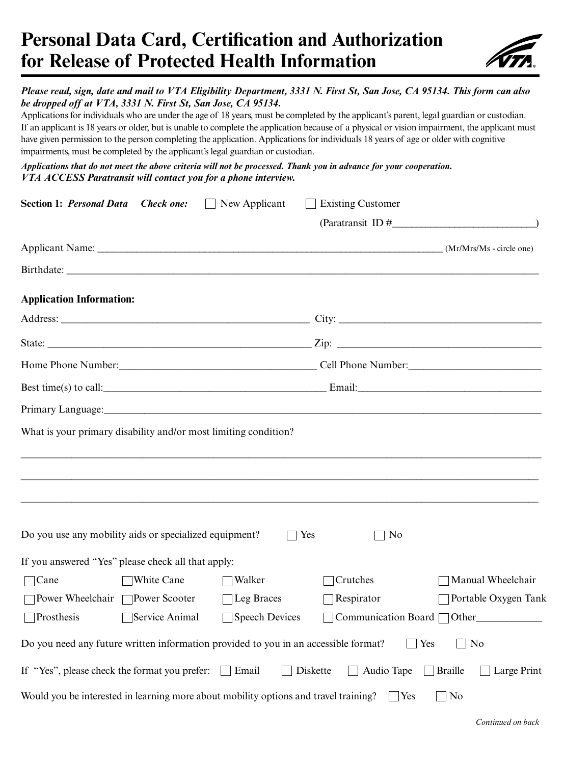# **Personal Data Card, Certification and Authorization for Release of Protected Health Information**



## *Please read, sign, date and mail to VTA Eligibility Department, 3331 N. First St, San Jose, CA 95134. This form can also be dropped off at VTA, 3331 N. First St, San Jose, CA 95134.*

Applications for individuals who are under the age of 18 years, must be completed by the applicant's parent, legal guardian or custodian. If an applicant is 18 years or older, but is unable to complete the application because of a physical or vision impairment, the applicant must have given permission to the person completing the application. Applications for individuals 18 years of age or older with cognitive impairments, must be completed by the applicant's legal guardian or custodian.

*Applications that do not meet the above criteria will not be processed. Thank you in advance for your cooperation. VTA ACCESS Paratransit will contact you for a phone interview.*

| <b>Section 1: Personal Data Check one:</b>             |                | New Applicant                                                                        | <b>Existing Customer</b> |                                                                                                                                                                                                                                |
|--------------------------------------------------------|----------------|--------------------------------------------------------------------------------------|--------------------------|--------------------------------------------------------------------------------------------------------------------------------------------------------------------------------------------------------------------------------|
|                                                        |                |                                                                                      |                          | $(Paratransit ID #$ (Paratransit ID #                                                                                                                                                                                          |
|                                                        |                |                                                                                      |                          |                                                                                                                                                                                                                                |
|                                                        |                |                                                                                      |                          |                                                                                                                                                                                                                                |
| <b>Application Information:</b>                        |                |                                                                                      |                          |                                                                                                                                                                                                                                |
|                                                        |                |                                                                                      |                          |                                                                                                                                                                                                                                |
|                                                        |                |                                                                                      |                          |                                                                                                                                                                                                                                |
|                                                        |                |                                                                                      |                          | Home Phone Number: Cell Phone Number:                                                                                                                                                                                          |
|                                                        |                |                                                                                      |                          | Best time(s) to call:<br><u>Email:</u><br>Email:                                                                                                                                                                               |
|                                                        |                |                                                                                      |                          | Primary Language: 1992. The contract of the contract of the contract of the contract of the contract of the contract of the contract of the contract of the contract of the contract of the contract of the contract of the co |
|                                                        |                | What is your primary disability and/or most limiting condition?                      |                          |                                                                                                                                                                                                                                |
|                                                        |                |                                                                                      |                          |                                                                                                                                                                                                                                |
|                                                        |                |                                                                                      |                          |                                                                                                                                                                                                                                |
|                                                        |                |                                                                                      |                          |                                                                                                                                                                                                                                |
| Do you use any mobility aids or specialized equipment? |                |                                                                                      | Yes<br>No                |                                                                                                                                                                                                                                |
| If you answered "Yes" please check all that apply:     |                |                                                                                      |                          |                                                                                                                                                                                                                                |
| $\Box$ Cane                                            | White Cane     | Walker                                                                               | Crutches                 | Manual Wheelchair                                                                                                                                                                                                              |
| □ Power Wheelchair □ Power Scooter                     |                | $\Box$ Leg Braces                                                                    | Respirator               | Portable Oxygen Tank                                                                                                                                                                                                           |
| <b>Prosthesis</b>                                      | Service Animal | Speech Devices                                                                       |                          | Communication Board $\Box$ Other                                                                                                                                                                                               |
|                                                        |                | Do you need any future written information provided to you in an accessible format?  |                          | No<br>Yes                                                                                                                                                                                                                      |
| If "Yes", please check the format you prefer:          |                | $\Box$ Email                                                                         | Diskette<br>Audio Tape   | Large Print<br><b>Braille</b>                                                                                                                                                                                                  |
|                                                        |                | Would you be interested in learning more about mobility options and travel training? |                          | N <sub>0</sub><br>$\vert$ Yes<br>$\mathbf{I}$                                                                                                                                                                                  |